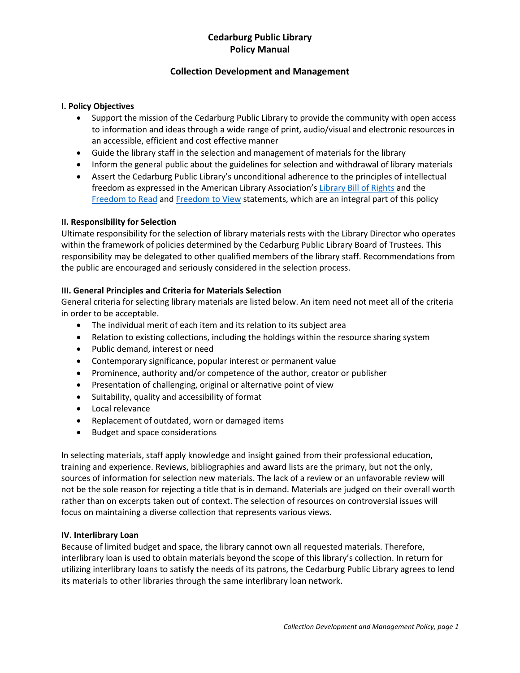# **Cedarburg Public Library Policy Manual**

### **Collection Development and Management**

### **I. Policy Objectives**

- Support the mission of the Cedarburg Public Library to provide the community with open access to information and ideas through a wide range of print, audio/visual and electronic resources in an accessible, efficient and cost effective manner
- Guide the library staff in the selection and management of materials for the library
- Inform the general public about the guidelines for selection and withdrawal of library materials
- Assert the Cedarburg Public Library's unconditional adherence to the principles of intellectual freedom as expressed in the American Library Association's Library Bill of Rights and the Freedom to Read and Freedom to View statements, which are an integral part of this policy

### **II. Responsibility for Selection**

Ultimate responsibility for the selection of library materials rests with the Library Director who operates within the framework of policies determined by the Cedarburg Public Library Board of Trustees. This responsibility may be delegated to other qualified members of the library staff. Recommendations from the public are encouraged and seriously considered in the selection process.

### **III. General Principles and Criteria for Materials Selection**

General criteria for selecting library materials are listed below. An item need not meet all of the criteria in order to be acceptable.

- The individual merit of each item and its relation to its subject area
- Relation to existing collections, including the holdings within the resource sharing system
- Public demand, interest or need
- Contemporary significance, popular interest or permanent value
- Prominence, authority and/or competence of the author, creator or publisher
- Presentation of challenging, original or alternative point of view
- Suitability, quality and accessibility of format
- Local relevance
- Replacement of outdated, worn or damaged items
- Budget and space considerations

In selecting materials, staff apply knowledge and insight gained from their professional education, training and experience. Reviews, bibliographies and award lists are the primary, but not the only, sources of information for selection new materials. The lack of a review or an unfavorable review will not be the sole reason for rejecting a title that is in demand. Materials are judged on their overall worth rather than on excerpts taken out of context. The selection of resources on controversial issues will focus on maintaining a diverse collection that represents various views.

#### **IV. Interlibrary Loan**

Because of limited budget and space, the library cannot own all requested materials. Therefore, interlibrary loan is used to obtain materials beyond the scope of this library's collection. In return for utilizing interlibrary loans to satisfy the needs of its patrons, the Cedarburg Public Library agrees to lend its materials to other libraries through the same interlibrary loan network.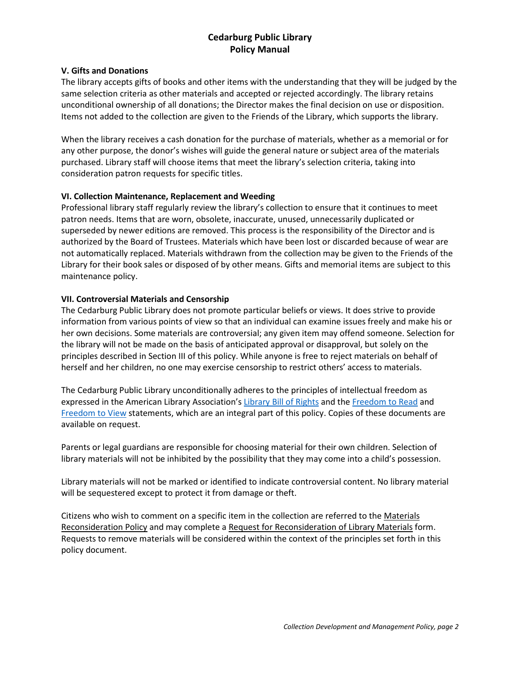# **Cedarburg Public Library Policy Manual**

#### **V. Gifts and Donations**

The library accepts gifts of books and other items with the understanding that they will be judged by the same selection criteria as other materials and accepted or rejected accordingly. The library retains unconditional ownership of all donations; the Director makes the final decision on use or disposition. Items not added to the collection are given to the Friends of the Library, which supports the library.

When the library receives a cash donation for the purchase of materials, whether as a memorial or for any other purpose, the donor's wishes will guide the general nature or subject area of the materials purchased. Library staff will choose items that meet the library's selection criteria, taking into consideration patron requests for specific titles.

### **VI. Collection Maintenance, Replacement and Weeding**

Professional library staff regularly review the library's collection to ensure that it continues to meet patron needs. Items that are worn, obsolete, inaccurate, unused, unnecessarily duplicated or superseded by newer editions are removed. This process is the responsibility of the Director and is authorized by the Board of Trustees. Materials which have been lost or discarded because of wear are not automatically replaced. Materials withdrawn from the collection may be given to the Friends of the Library for their book sales or disposed of by other means. Gifts and memorial items are subject to this maintenance policy.

#### **VII. Controversial Materials and Censorship**

The Cedarburg Public Library does not promote particular beliefs or views. It does strive to provide information from various points of view so that an individual can examine issues freely and make his or her own decisions. Some materials are controversial; any given item may offend someone. Selection for the library will not be made on the basis of anticipated approval or disapproval, but solely on the principles described in Section III of this policy. While anyone is free to reject materials on behalf of herself and her children, no one may exercise censorship to restrict others' access to materials.

The Cedarburg Public Library unconditionally adheres to the principles of intellectual freedom as expressed in the American Library Association's Library Bill of Rights and the Freedom to Read and Freedom to View statements, which are an integral part of this policy. Copies of these documents are available on request.

Parents or legal guardians are responsible for choosing material for their own children. Selection of library materials will not be inhibited by the possibility that they may come into a child's possession.

Library materials will not be marked or identified to indicate controversial content. No library material will be sequestered except to protect it from damage or theft.

Citizens who wish to comment on a specific item in the collection are referred to the Materials Reconsideration Policy and may complete a Request for Reconsideration of Library Materials form. Requests to remove materials will be considered within the context of the principles set forth in this policy document.